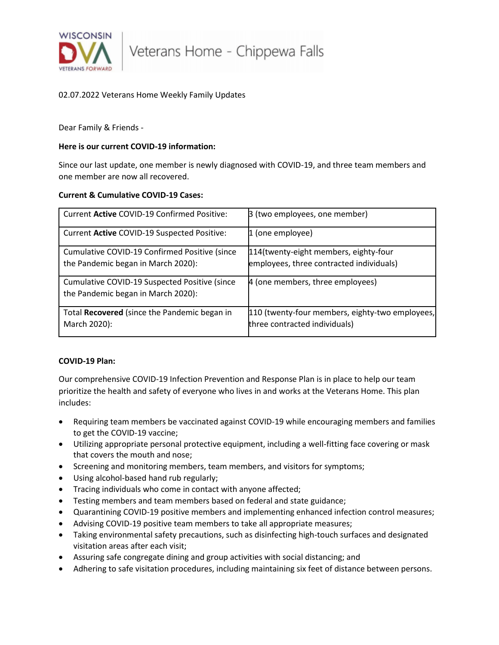

# 02.07.2022 Veterans Home Weekly Family Updates

Dear Family & Friends -

### **Here is our current COVID-19 information:**

Since our last update, one member is newly diagnosed with COVID-19, and three team members and one member are now all recovered.

## **Current & Cumulative COVID-19 Cases:**

| Current Active COVID-19 Confirmed Positive:                                         | 3 (two employees, one member)                                                     |
|-------------------------------------------------------------------------------------|-----------------------------------------------------------------------------------|
| Current Active COVID-19 Suspected Positive:                                         | 1 (one employee)                                                                  |
| Cumulative COVID-19 Confirmed Positive (since<br>the Pandemic began in March 2020): | 114(twenty-eight members, eighty-four<br>employees, three contracted individuals) |
| Cumulative COVID-19 Suspected Positive (since<br>the Pandemic began in March 2020): | 4 (one members, three employees)                                                  |
| Total Recovered (since the Pandemic began in<br>March 2020):                        | [110 (twenty-four members, eighty-two employees,<br>three contracted individuals) |

## **COVID-19 Plan:**

Our comprehensive COVID-19 Infection Prevention and Response Plan is in place to help our team prioritize the health and safety of everyone who lives in and works at the Veterans Home. This plan includes:

- Requiring team members be vaccinated against COVID-19 while encouraging members and families to get the COVID-19 vaccine;
- Utilizing appropriate personal protective equipment, including a well-fitting face covering or mask that covers the mouth and nose;
- Screening and monitoring members, team members, and visitors for symptoms;
- Using alcohol-based hand rub regularly;
- Tracing individuals who come in contact with anyone affected;
- Testing members and team members based on federal and state guidance;
- Quarantining COVID-19 positive members and implementing enhanced infection control measures;
- Advising COVID-19 positive team members to take all appropriate measures;
- Taking environmental safety precautions, such as disinfecting high-touch surfaces and designated visitation areas after each visit;
- Assuring safe congregate dining and group activities with social distancing; and
- Adhering to safe visitation procedures, including maintaining six feet of distance between persons.